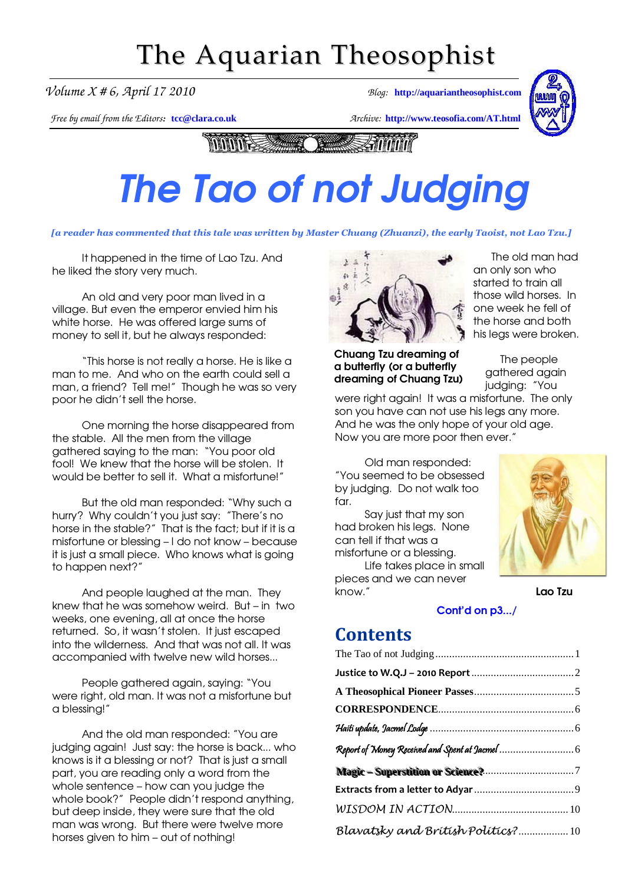# The Aquarian Theosophist

*Volume X # 6, April 17 2010 Blog:* **[http://aquariantheosophist.com](http://aquariantheosophist.com/)**

*Free by email from the Editors:* **[tcc@clara.co.uk](mailto:tcc@clara.co.uk)** *Archive:* **<http://www.teosofia.com/AT.html>**



**MANIFESSIONER Taking Annon** 

# The Tao of not Judging The Tao of not Judging

[a reader has commented that this tale was written by Master Chuang (Zhuanzi), the early Taoist, not Lao Tzu.]

It happened in the time of Lao Tzu. And he liked the story very much.

An old and very poor man lived in a village. But even the emperor envied him his white horse. He was offered large sums of money to sell it, but he always responded:

"This horse is not really a horse. He is like a man to me. And who on the earth could sell a man, a friend? Tell me!" Though he was so very poor he didn't sell the horse.

One morning the horse disappeared from the stable. All the men from the village gathered saying to the man: "You poor old fool! We knew that the horse will be stolen. It would be better to sell it. What a misfortune!"

But the old man responded: "Why such a hurry? Why couldn't you just say: "There's no horse in the stable?" That is the fact; but if it is a misfortune or blessing – I do not know – because it is just a small piece. Who knows what is going to happen next?"

And people laughed at the man. They knew that he was somehow weird. But – in two weeks, one evening, all at once the horse returned. So, it wasn't stolen. It just escaped into the wilderness. And that was not all. It was accompanied with twelve new wild horses...

People gathered again, saying: "You were right, old man. It was not a misfortune but a blessing!"

And the old man responded: "You are judging again! Just say: the horse is back... who knows is it a blessing or not? That is just a small part, you are reading only a word from the whole sentence – how can you judge the whole book?" People didn't respond anything, but deep inside, they were sure that the old man was wrong. But there were twelve more horses given to him – out of nothing!



Chuang Tzu dreaming of a butterfly (or a butterfly dreaming of Chuang Tzu)

 The old man had an only son who started to train all those wild horses. In one week he fell of the horse and both his legs were broken.

> The people gathered again judaina: "You

were right again! It was a misfortune. The only son you have can not use his legs any more. And he was the only hope of your old age. Now you are more poor then ever."

Old man responded: "You seemed to be obsessed by judging. Do not walk too  $for.$ 

Say just that my son had broken his legs. None can tell if that was a misfortune or a blessing.

Life takes place in small pieces and we can never know." Lao Tzu



#### [Cont'd on p3.../](#page-1-0)

### **Contents**

| Blavatsky and British Politics? 10 |  |
|------------------------------------|--|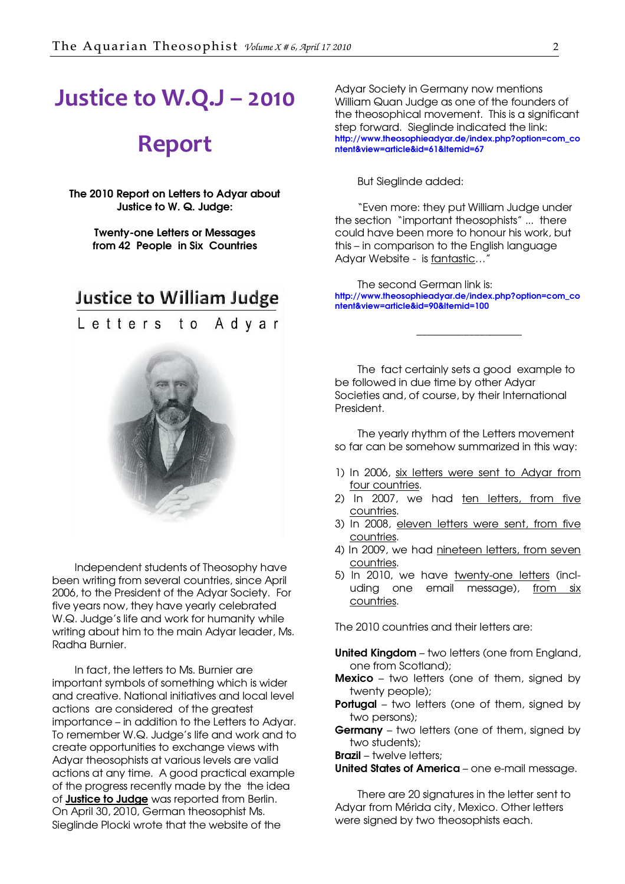## <span id="page-1-0"></span>Justice to W.Q.J – 2010

### Report

The 2010 Report on Letters to Adyar about Justice to W. Q. Judge:

> Twenty-one Letters or Messages from 42 People in Six Countries

### Justice to William Judge



Independent students of Theosophy have been writing from several countries, since April 2006, to the President of the Adyar Society. For five years now, they have yearly celebrated W.Q. Judge's life and work for humanity while writing about him to the main Adyar leader, Ms. Radha Burnier.

In fact, the letters to Ms. Burnier are important symbols of something which is wider and creative. National initiatives and local level actions are considered of the greatest importance – in addition to the Letters to Adyar. To remember W.Q. Judge's life and work and to create opportunities to exchange views with Adyar theosophists at various levels are valid actions at any time. A good practical example of the progress recently made by the the idea of **Justice to Judge** was reported from Berlin. On April 30, 2010, German theosophist Ms. Sieglinde Plocki wrote that the website of the

Adyar Society in Germany now mentions William Quan Judge as one of the founders of the theosophical movement. This is a significant step forward. Sieglinde indicated the link: [http://www.theosophieadyar.de/index.php?option=com\\_co](http://www.theosophieadyar.de/index.php?option=com_content&view=article&id=61&Itemid=67) ntent&view=article&id=61&Itemid=67

But Sieglinde added:

"Even more: they put William Judge under the section "important theosophists" ... there could have been more to honour his work, but this – in comparison to the English language Adyar Website - is fantastic...<sup>4</sup>

The second German link is: [http://www.theosophieadyar.de/index.php?option=com\\_co](http://www.theosophieadyar.de/index.php?option=com_content&view=article&id=90&Itemid=100) ntent&view=article&id=90&Itemid=100

\_\_\_\_\_\_\_\_\_\_\_\_\_\_\_\_\_\_\_\_

The fact certainly sets a good example to be followed in due time by other Adyar Societies and, of course, by their International President.

The yearly rhythm of the Letters movement so far can be somehow summarized in this way:

- 1) In 2006, six letters were sent to Adyar from four countries.
- 2) In 2007, we had ten letters, from five countries.
- 3) In 2008, eleven letters were sent, from five countries.
- 4) In 2009, we had nineteen letters, from seven countries.
- 5) In 2010, we have twenty-one letters (including one email message), from six countries.

The 2010 countries and their letters are:

- United Kingdom two letters (one from England, one from Scotland);
- **Mexico** two letters (one of them, signed by twenty people);
- **Portugal** two letters (one of them, signed by two persons);
- **Germany** two letters (one of them, signed by two students);

Brazil – twelve letters;

United States of America – one e-mail message.

There are 20 signatures in the letter sent to Adyar from Mérida city, Mexico. Other letters were signed by two theosophists each.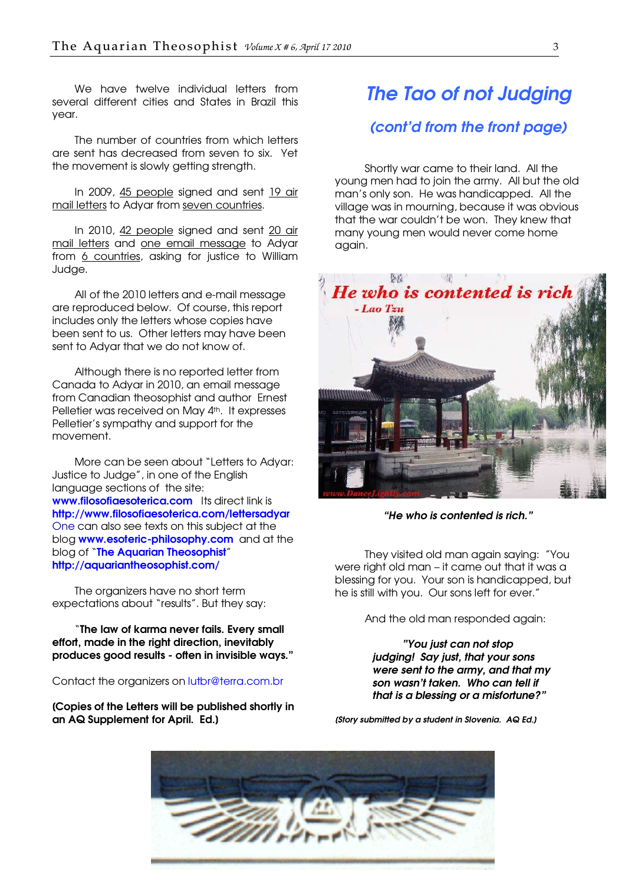We have twelve individual letters from several different cities and States in Brazil this year.

The number of countries from which letters are sent has decreased from seven to six. Yet the movement is slowly getting strength.

In 2009, 45 people signed and sent 19 air mail letters to Adyar from seven countries.

In 2010, 42 people signed and sent 20 air mail letters and one email message to Adyar from 6 countries, asking for justice to William Judge.

All of the 2010 letters and e-mail message are reproduced below. Of course, this report includes only the letters whose copies have been sent to us. Other letters may have been sent to Adyar that we do not know of.

Although there is no reported letter from Canada to Adyar in 2010, an email message from Canadian theosophist and author Ernest Pelletier was received on May 4th. It expresses Pelletier's sympathy and support for the movement.

More can be seen about "Letters to Adyar: Justice to Judge", in one of the English language sections of the site: [www.filosofiaesoterica.com](http://www.filosofiaesoterica.com/) Its direct link is <http://www.filosofiaesoterica.com/lettersadyar> One can also see texts on this subject at the blog [www.esoteric-philosophy.com](http://www.esoteric-philosophy-com/) and at the blog of "[The Aquarian Theosophist](http://aquariantheosophist.com/)" <http://aquariantheosophist.com/>

The organizers have no short term expectations about "results". But they say:

"The law of karma never fails. Every small effort, made in the right direction, inevitably produces good results - often in invisible ways."

Contact the organizers on [lutbr@terra.com.br](mailto:lutbr@terra.com.br)

[Copies of the Letters will be published shortly in an AQ Supplement for April. Ed.]

## The Tao of not Judging (cont'd from the front page)

Shortly war came to their land. All the young men had to join the army. All but the old man's only son. He was handicapped. All the village was in mourning, because it was obvious that the war couldn't be won. They knew that many young men would never come home again.



"He who is contented is rich."

They visited old man again saying: "You were right old man – it came out that it was a blessing for you. Your son is handicapped, but he is still with you. Our sons left for ever."

And the old man responded again:

"You just can not stop judging! Say just, that your sons were sent to the army, and that my son wasn't taken. Who can tell if that is a blessing or a misfortune?"

[Story submitted by a student in Slovenia. AQ Ed.]

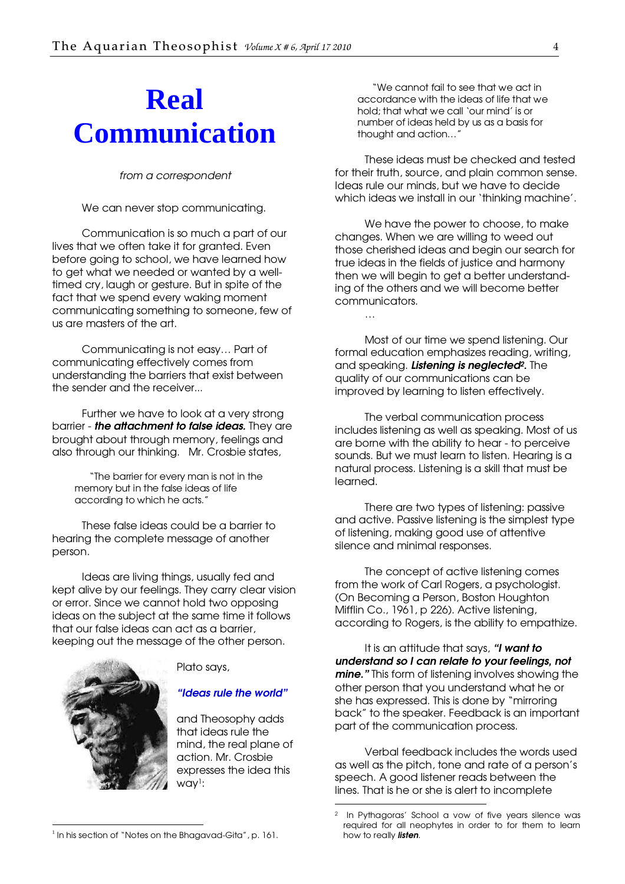# **Real Communication**

from a correspondent

We can never stop communicating.

Communication is so much a part of our lives that we often take it for granted. Even before going to school, we have learned how to get what we needed or wanted by a welltimed cry, laugh or gesture. But in spite of the fact that we spend every waking moment communicating something to someone, few of us are masters of the art.

Communicating is not easy… Part of communicating effectively comes from understanding the barriers that exist between the sender and the receiver...

Further we have to look at a very strong barrier - the attachment to false ideas. They are brought about through memory, feelings and also through our thinking. Mr. Crosbie states,

"The barrier for every man is not in the memory but in the false ideas of life according to which he acts."

These false ideas could be a barrier to hearing the complete message of another person.

Ideas are living things, usually fed and kept alive by our feelings. They carry clear vision or error. Since we cannot hold two opposing ideas on the subject at the same time it follows that our false ideas can act as a barrier, keeping out the message of the other person.



Plato says,

"Ideas rule the world"

and Theosophy adds that ideas rule the mind, the real plane of action. Mr. Crosbie expresses the idea this way1:

-

"We cannot fail to see that we act in accordance with the ideas of life that we hold; that what we call 'our mind' is or number of ideas held by us as a basis for thought and action…"

These ideas must be checked and tested for their truth, source, and plain common sense. Ideas rule our minds, but we have to decide which ideas we install in our 'thinking machine'.

We have the power to choose, to make changes. When we are willing to weed out those cherished ideas and begin our search for true ideas in the fields of justice and harmony then we will begin to get a better understanding of the others and we will become better communicators.

Most of our time we spend listening. Our formal education emphasizes reading, writing, and speaking. Listening is neglected<sup>2</sup>. The quality of our communications can be improved by learning to listen effectively.

…

The verbal communication process includes listening as well as speaking. Most of us are borne with the ability to hear - to perceive sounds. But we must learn to listen. Hearing is a natural process. Listening is a skill that must be learned.

There are two types of listening: passive and active. Passive listening is the simplest type of listening, making good use of attentive silence and minimal responses.

The concept of active listening comes from the work of Carl Rogers, a psychologist. (On Becoming a Person, Boston Houghton Mifflin Co., 1961, p 226). Active listening, according to Rogers, is the ability to empathize.

It is an attitude that says, "I want to understand so I can relate to your feelings, not mine." This form of listening involves showing the other person that you understand what he or she has expressed. This is done by "mirroring back" to the speaker. Feedback is an important part of the communication process.

Verbal feedback includes the words used as well as the pitch, tone and rate of a person's speech. A good listener reads between the lines. That is he or she is alert to incomplete

In Pythagoras' School a vow of five years silence was required for all neophytes in order to for them to learn how to really *listen*.

<sup>-</sup><sup>1</sup> In his section of "Notes on the Bhagavad-Gita", p. 161.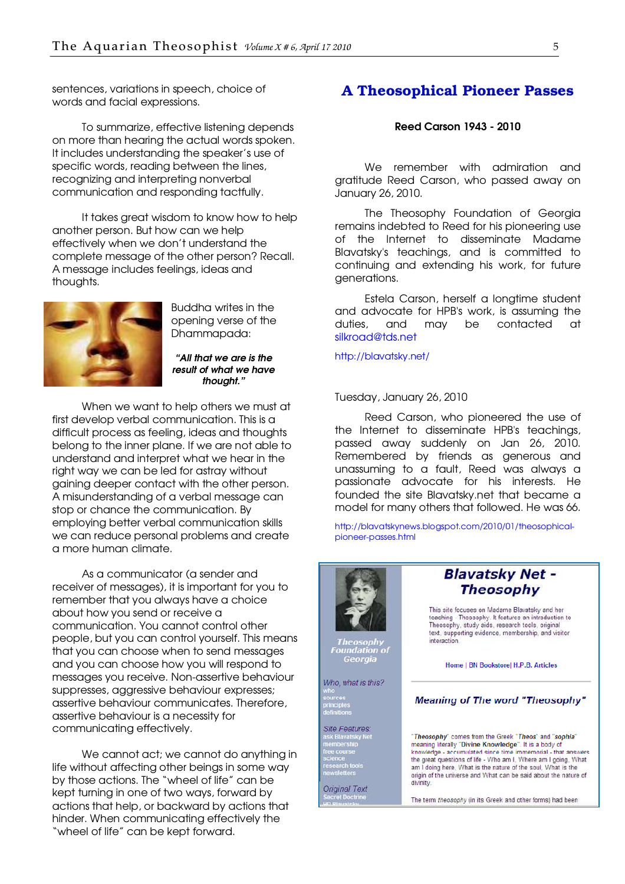<span id="page-4-0"></span>sentences, variations in speech, choice of words and facial expressions.

To summarize, effective listening depends on more than hearing the actual words spoken. It includes understanding the speaker's use of specific words, reading between the lines, recognizing and interpreting nonverbal communication and responding tactfully.

It takes great wisdom to know how to help another person. But how can we help effectively when we don't understand the complete message of the other person? Recall. A message includes feelings, ideas and thoughts.



Buddha writes in the opening verse of the Dhammapada:

"All that we are is the result of what we have thought."

When we want to help others we must at first develop verbal communication. This is a difficult process as feeling, ideas and thoughts belong to the inner plane. If we are not able to understand and interpret what we hear in the right way we can be led for astray without gaining deeper contact with the other person. A misunderstanding of a verbal message can stop or chance the communication. By employing better verbal communication skills we can reduce personal problems and create a more human climate.

As a communicator (a sender and receiver of messages), it is important for you to remember that you always have a choice about how you send or receive a communication. You cannot control other people, but you can control yourself. This means that you can choose when to send messages and you can choose how you will respond to messages you receive. Non-assertive behaviour suppresses, aggressive behaviour expresses; assertive behaviour communicates. Therefore, assertive behaviour is a necessity for communicating effectively.

We cannot act; we cannot do anything in life without affecting other beings in some way by those actions. The "wheel of life" can be kept turning in one of two ways, forward by actions that help, or backward by actions that hinder. When communicating effectively the "wheel of life" can be kept forward.

#### A Theosophical Pioneer Passes

#### Reed Carson 1943 - 2010

We remember with admiration and gratitude Reed Carson, who passed away on January 26, 2010.

The Theosophy Foundation of Georgia remains indebted to Reed for his pioneering use of the Internet to disseminate Madame Blavatsky's teachings, and is committed to continuing and extending his work, for future generations.

Estela Carson, herself a longtime student and advocate for HPB's work, is assuming the duties, and may be contacted at [silkroad@tds.net](mailto:silkroad@tds.net)

<http://blavatsky.net/>

#### Tuesday, January 26, 2010

Reed Carson, who pioneered the use of the Internet to disseminate HPB's teachings, passed away suddenly on Jan 26, 2010. Remembered by friends as generous and unassuming to a fault, Reed was always a passionate advocate for his interests. He founded the site Blavatsky.net that became a model for many others that followed. He was 66.

[http://blavatskynews.blogspot.com/2010/01/theosophical](http://blavatskynews.blogspot.com/2010/01/theosophical-pioneer-passes.html)pioneer-passes.html

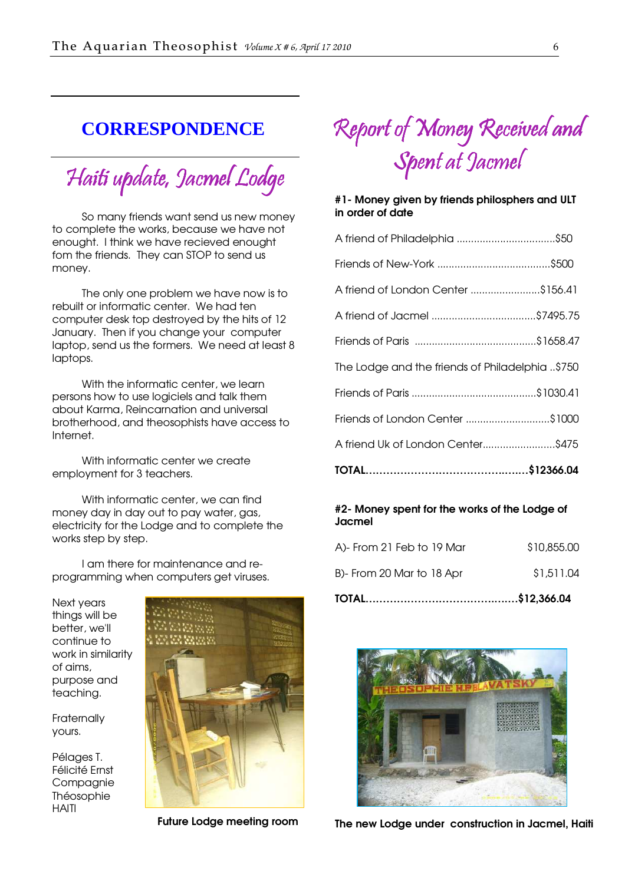### <span id="page-5-0"></span>**CORRESPONDENCE**

Haiti update, Jacmel Lodge

So many friends want send us new money to complete the works, because we have not enought. I think we have recieved enought fom the friends. They can STOP to send us money.

The only one problem we have now is to rebuilt or informatic center. We had ten computer desk top destroyed by the hits of 12 January. Then if you change your computer laptop, send us the formers. We need at least 8 laptops.

With the informatic center, we learn persons how to use logiciels and talk them about Karma, Reincarnation and universal brotherhood, and theosophists have access to Internet.

With informatic center we create employment for 3 teachers.

With informatic center, we can find money day in day out to pay water, gas, electricity for the Lodge and to complete the works step by step.

I am there for maintenance and reprogramming when computers get viruses.

Next years things will be better, we'll continue to work in similarity of aims, purpose and teaching.

**Fraternally** yours.

Pélages T. Félicité Ernst Compagnie Théosophie HAITI



Future Lodge meeting room

# Report of Money Received and Spent at Jacmel

#### #1- Money given by friends philosphers and ULT in order of date

| A friend Uk of London Center\$475                |
|--------------------------------------------------|
| Friends of London Center \$1000                  |
|                                                  |
| 15750. The Lodge and the friends of Philadelphia |
|                                                  |
| A friend of Jacmel \$7495.75                     |
| A friend of London Center \$156.41               |
|                                                  |
| A friend of Philadelphia \$50                    |

#### #2- Money spent for the works of the Lodge of Jacmel

| B)- From 20 Mar to 18 Apr | \$1,511.04  |  |
|---------------------------|-------------|--|
| A)- From 21 Feb to 19 Mar | \$10,855,00 |  |



The new Lodge under construction in Jacmel, Haiti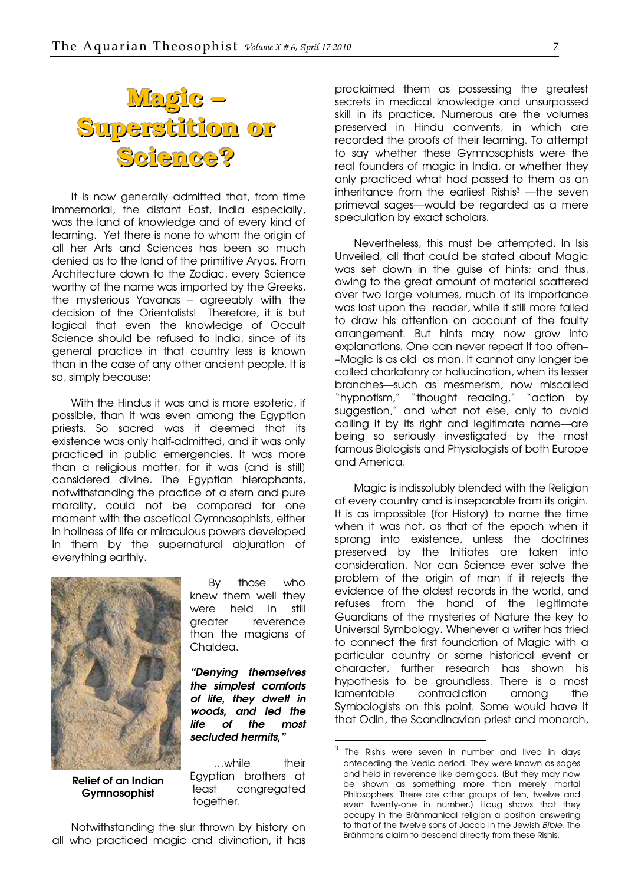<span id="page-6-0"></span>

It is now generally admitted that, from time immemorial, the distant East, India especially, was the land of knowledge and of every kind of learning. Yet there is none to whom the origin of all her Arts and Sciences has been so much denied as to the land of the primitive Aryas. From Architecture down to the Zodiac, every Science worthy of the name was imported by the Greeks, the mysterious Yavanas – agreeably with the decision of the Orientalists! Therefore, it is but logical that even the knowledge of Occult Science should be refused to India, since of its general practice in that country less is known than in the case of any other ancient people. It is so, simply because:

With the Hindus it was and is more esoteric, if possible, than it was even among the Egyptian priests. So sacred was it deemed that its existence was only half-admitted, and it was only practiced in public emergencies. It was more than a religious matter, for it was [and is still] considered divine. The Egyptian hierophants, notwithstanding the practice of a stern and pure morality, could not be compared for one moment with the ascetical Gymnosophists, either in holiness of life or miraculous powers developed in them by the supernatural abjuration of everything earthly.



Relief of an Indian Gymnosophist

By those who knew them well they were held in still greater reverence than the magians of Chaldea.

"Denying themselves the simplest comforts of life, they dwelt in woods, and led the life of the most secluded hermits,"

l

 …while their Egyptian brothers at least congregated together.

Notwithstanding the slur thrown by history on all who practiced magic and divination, it has

proclaimed them as possessing the greatest secrets in medical knowledge and unsurpassed skill in its practice. Numerous are the volumes preserved in Hindu convents, in which are recorded the proofs of their learning. To attempt to say whether these Gymnosophists were the real founders of magic in India, or whether they only practiced what had passed to them as an inheritance from the earliest Rishis<sup>3</sup> — the seven primeval sages––would be regarded as a mere speculation by exact scholars.

Nevertheless, this must be attempted. In Isis Unveiled, all that could be stated about Magic was set down in the guise of hints; and thus, owing to the great amount of material scattered over two large volumes, much of its importance was lost upon the reader, while it still more failed to draw his attention on account of the faulty arrangement. But hints may now grow into explanations. One can never repeat it too often– –Magic is as old as man. It cannot any longer be called charlatanry or hallucination, when its lesser branches––such as mesmerism, now miscalled "hypnotism," "thought reading," "action by suggestion," and what not else, only to avoid calling it by its right and legitimate name––are being so seriously investigated by the most famous Biologists and Physiologists of both Europe and America.

Magic is indissolubly blended with the Religion of every country and is inseparable from its origin. It is as impossible (for History) to name the time when it was not, as that of the epoch when it sprang into existence, unless the doctrines preserved by the Initiates are taken into consideration. Nor can Science ever solve the problem of the origin of man if it rejects the evidence of the oldest records in the world, and refuses from the hand of the legitimate Guardians of the mysteries of Nature the key to Universal Symbology. Whenever a writer has tried to connect the first foundation of Magic with a particular country or some historical event or character, further research has shown his hypothesis to be groundless. There is a most lamentable contradiction among the Symbologists on this point. Some would have it that Odin, the Scandinavian priest and monarch,

<sup>3</sup> The Rishis were seven in number and lived in days anteceding the Vedic period. They were known as sages and held in reverence like demigods. [But they may now be shown as something more than merely mortal Philosophers. There are other groups of ten, twelve and even twenty-one in number.] Haug shows that they occupy in the Brâhmanical religion a position answering to that of the twelve sons of Jacob in the Jewish Bible. The Brâhmans claim to descend directly from these Rishis.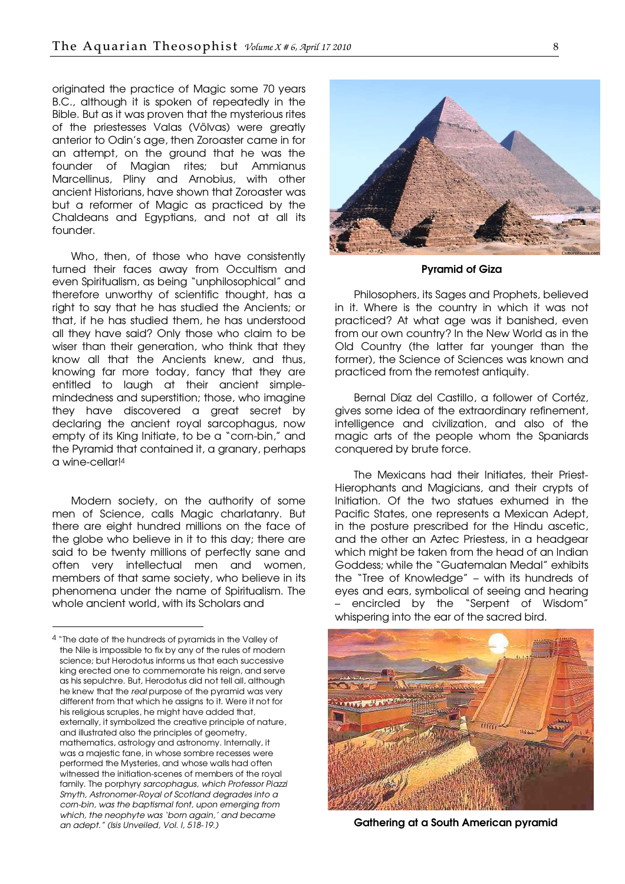originated the practice of Magic some 70 years B.C., although it is spoken of repeatedly in the Bible. But as it was proven that the mysterious rites of the priestesses Valas (Völvas) were greatly anterior to Odin's age, then Zoroaster came in for an attempt, on the ground that he was the founder of Magian rites; but Ammianus Marcellinus, Pliny and Arnobius, with other ancient Historians, have shown that Zoroaster was but a reformer of Magic as practiced by the Chaldeans and Egyptians, and not at all its founder.

Who, then, of those who have consistently turned their faces away from Occultism and even Spiritualism, as being "unphilosophical" and therefore unworthy of scientific thought, has a right to say that he has studied the Ancients; or that, if he has studied them, he has understood all they have said? Only those who claim to be wiser than their generation, who think that they know all that the Ancients knew, and thus, knowing far more today, fancy that they are entitled to laugh at their ancient simplemindedness and superstition; those, who imagine they have discovered a great secret by declaring the ancient royal sarcophagus, now empty of its King Initiate, to be a "corn-bin," and the Pyramid that contained it, a granary, perhaps a wine-cellar!<sup>4</sup>

Modern society, on the authority of some men of Science, calls Magic charlatanry. But there are eight hundred millions on the face of the globe who believe in it to this day; there are said to be twenty millions of perfectly sane and often very intellectual men and women, members of that same society, who believe in its phenomena under the name of Spiritualism. The whole ancient world, with its Scholars and

-



Pyramid of Giza

Philosophers, its Sages and Prophets, believed in it. Where is the country in which it was not practiced? At what age was it banished, even from our own country? In the New World as in the Old Country (the latter far younger than the former), the Science of Sciences was known and practiced from the remotest antiquity.

Bernal Díaz del Castillo, a follower of Cortéz, gives some idea of the extraordinary refinement, intelligence and civilization, and also of the magic arts of the people whom the Spaniards conquered by brute force.

The Mexicans had their Initiates, their Priest-Hierophants and Magicians, and their crypts of Initiation. Of the two statues exhumed in the Pacific States, one represents a Mexican Adept, in the posture prescribed for the Hindu ascetic, and the other an Aztec Priestess, in a headgear which might be taken from the head of an Indian Goddess; while the "Guatemalan Medal" exhibits the "Tree of Knowledge" – with its hundreds of eyes and ears, symbolical of seeing and hearing – encircled by the "Serpent of Wisdom" whispering into the ear of the sacred bird.



Gathering at a South American pyramid

<sup>4</sup> "The date of the hundreds of pyramids in the Valley of the Nile is impossible to fix by any of the rules of modern science; but Herodotus informs us that each successive king erected one to commemorate his reign, and serve as his sepulchre. But, Herodotus did not tell all, although he knew that the real purpose of the pyramid was very different from that which he assigns to it. Were it not for his religious scruples, he might have added that, externally, it symbolized the creative principle of nature, and illustrated also the principles of geometry, mathematics, astrology and astronomy. Internally, it was a majestic fane, in whose sombre recesses were performed the Mysteries, and whose walls had often witnessed the initiation-scenes of members of the royal family. The porphyry sarcophagus, which Professor Piazzi Smyth, Astronomer-Royal of Scotland degrades into a corn-bin, was the baptismal font, upon emerging from which, the neophyte was 'born again,' and became an adept." (Isis Unveiled, Vol. I, 518-19.)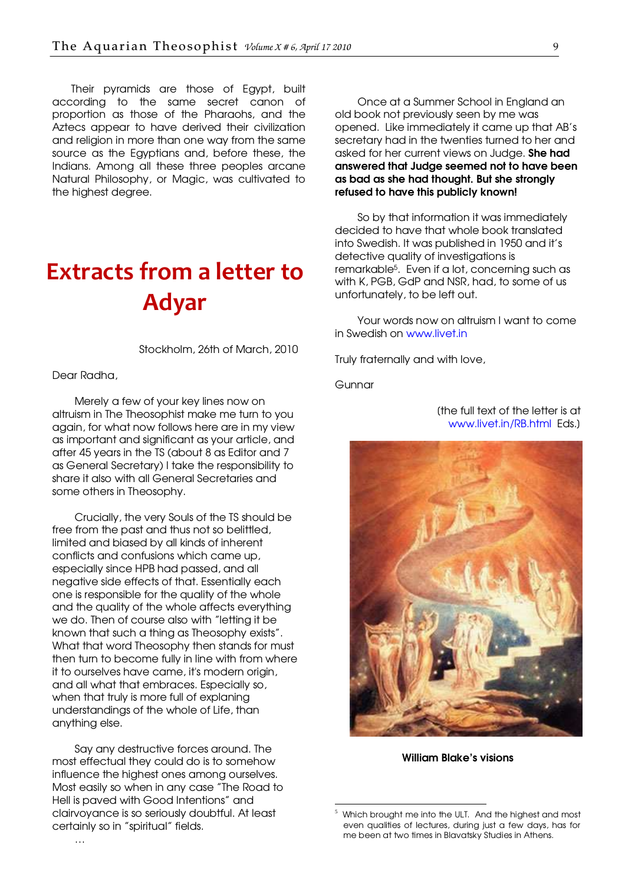<span id="page-8-0"></span>Their pyramids are those of Egypt, built according to the same secret canon of proportion as those of the Pharaohs, and the Aztecs appear to have derived their civilization and religion in more than one way from the same source as the Egyptians and, before these, the Indians. Among all these three peoples arcane Natural Philosophy, or Magic, was cultivated to the highest degree.

# Extracts from a letter to Adyar

Stockholm, 26th of March, 2010

Dear Radha,

Merely a few of your key lines now on altruism in The Theosophist make me turn to you again, for what now follows here are in my view as important and significant as your article, and after 45 years in the TS (about 8 as Editor and 7 as General Secretary) I take the responsibility to share it also with all General Secretaries and some others in Theosophy.

Crucially, the very Souls of the TS should be free from the past and thus not so belittled, limited and biased by all kinds of inherent conflicts and confusions which came up, especially since HPB had passed, and all negative side effects of that. Essentially each one is responsible for the quality of the whole and the quality of the whole affects everything we do. Then of course also with "letting it be known that such a thing as Theosophy exists". What that word Theosophy then stands for must then turn to become fully in line with from where it to ourselves have came, it's modern origin, and all what that embraces. Especially so, when that truly is more full of explaning understandings of the whole of Life, than anything else.

Say any destructive forces around. The most effectual they could do is to somehow influence the highest ones among ourselves. Most easily so when in any case "The Road to Hell is paved with Good Intentions" and clairvoyance is so seriously doubtful. At least certainly so in "spiritual" fields.

Once at a Summer School in England an old book not previously seen by me was opened. Like immediately it came up that AB's secretary had in the twenties turned to her and asked for her current views on Judge. **She had** answered that Judge seemed not to have been as bad as she had thought. But she strongly refused to have this publicly known!

So by that information it was immediately decided to have that whole book translated into Swedish. It was published in 1950 and it's detective quality of investigations is remarkable5. Even if a lot, concerning such as with K, PGB, GdP and NSR, had, to some of us unfortunately, to be left out.

Your words now on altruism I want to come in Swedish on [www.livet.in](http://www.livet.in/) 

Truly fraternally and with love,

**Gunnar** 

-

[the full text of the letter is at [www.livet.in/RB.html Eds.\]](http://www.livet.in/RB.html) 



William Blake's visions

<sup>5</sup> Which brought me into the ULT. And the highest and most even qualities of lectures, during just a few days, has for me been at two times in Blavatsky Studies in Athens.